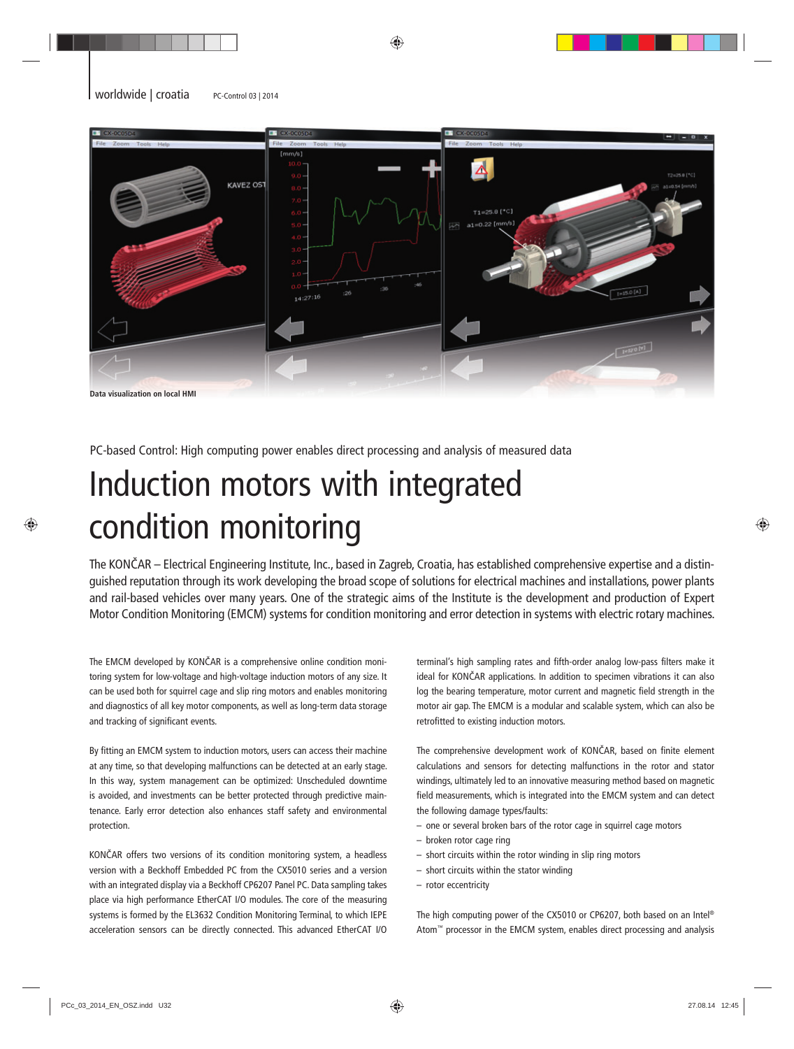

PC-based Control: High computing power enables direct processing and analysis of measured data

## Induction motors with integrated condition monitoring

The KONČAR – Electrical Engineering Institute, Inc., based in Zagreb, Croatia, has established comprehensive expertise and a distinguished reputation through its work developing the broad scope of solutions for electrical machines and installations, power plants and rail-based vehicles over many years. One of the strategic aims of the Institute is the development and production of Expert Motor Condition Monitoring (EMCM) systems for condition monitoring and error detection in systems with electric rotary machines.

The EMCM developed by KONČAR is a comprehensive online condition monitoring system for low-voltage and high-voltage induction motors of any size. It can be used both for squirrel cage and slip ring motors and enables monitoring and diagnostics of all key motor components, as well as long-term data storage and tracking of significant events.

By fitting an EMCM system to induction motors, users can access their machine at any time, so that developing malfunctions can be detected at an early stage. In this way, system management can be optimized: Unscheduled downtime is avoided, and investments can be better protected through predictive maintenance. Early error detection also enhances staff safety and environmental protection.

KONČAR offers two versions of its condition monitoring system, a headless version with a Beckhoff Embedded PC from the CX5010 series and a version with an integrated display via a Beckhoff CP6207 Panel PC. Data sampling takes place via high performance EtherCAT I/O modules. The core of the measuring systems is formed by the EL3632 Condition Monitoring Terminal, to which IEPE acceleration sensors can be directly connected. This advanced EtherCAT I/O

terminal's high sampling rates and fifth-order analog low-pass filters make it ideal for KONČAR applications. In addition to specimen vibrations it can also log the bearing temperature, motor current and magnetic field strength in the motor air gap. The EMCM is a modular and scalable system, which can also be retrofitted to existing induction motors.

The comprehensive development work of KONČAR, based on finite element calculations and sensors for detecting malfunctions in the rotor and stator windings, ultimately led to an innovative measuring method based on magnetic field measurements, which is integrated into the EMCM system and can detect the following damage types/faults:

- one or several broken bars of the rotor cage in squirrel cage motors
- broken rotor cage ring
- short circuits within the rotor winding in slip ring motors
- short circuits within the stator winding
- rotor eccentricity

The high computing power of the CX5010 or CP6207, both based on an Intel® Atom™ processor in the EMCM system, enables direct processing and analysis